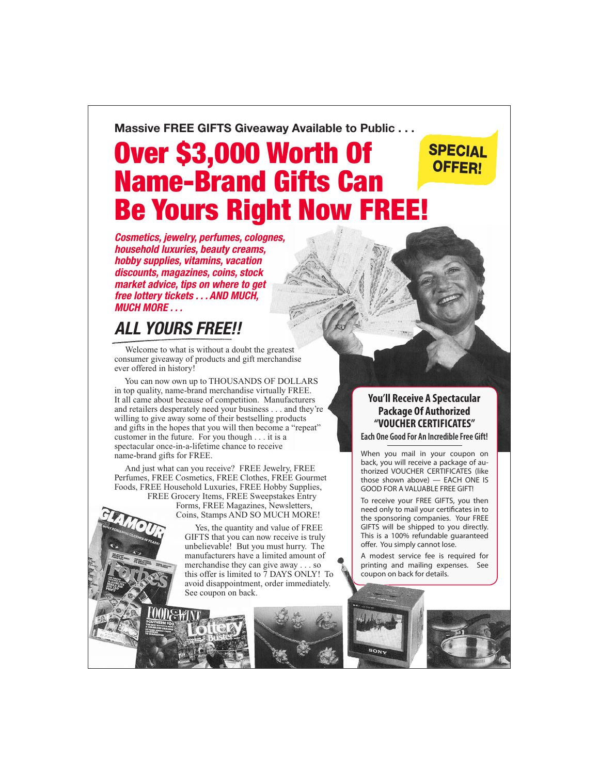#### **Massive FREE GIFTS Giveaway Available to Public . . .**

# Over \$3,000 Worth Of Name-Brand Gifts Can Be Yours Right Now FREE!

*Cosmetics, jewelry, perfumes, colognes, household luxuries, beauty creams, hobby supplies, vitamins, vacation discounts, magazines, coins, stock market advice, tips on where to get free lottery tickets . . . AND MUCH, MUCH MORE . . .*

### *ALL YOURS FREE!!*

 Welcome to what is without a doubt the greatest consumer giveaway of products and gift merchandise ever offered in history!

 You can now own up to THOUSANDS OF DOLLARS in top quality, name-brand merchandise virtually FREE. It all came about because of competition. Manufacturers and retailers desperately need your business . . . and they're willing to give away some of their bestselling products and gifts in the hopes that you will then become a "repeat" customer in the future. For you though . . . it is a spectacular once-in-a-lifetime chance to receive name-brand gifts for FREE.

 And just what can you receive? FREE Jewelry, FREE Perfumes, FREE Cosmetics, FREE Clothes, FREE Gourmet Foods, FREE Household Luxuries, FREE Hobby Supplies, FREE Grocery Items, FREE Sweepstakes Entry

 Forms, FREE Magazines, Newsletters, Coins, Stamps AND SO MUCH MORE!

 Yes, the quantity and value of FREE GIFTS that you can now receive is truly unbelievable! But you must hurry. The manufacturers have a limited amount of merchandise they can give away . . . so this offer is limited to 7 DAYS ONLY! To avoid disappointment, order immediately. See coupon on back.



#### **You'll Receive A Spectacular Package Of Authorized "VOUCHER CERTIFICATES"**

SPECIAL OFFER!

**Each One Good For An Incredible Free Gift!**

When you mail in your coupon on back, you will receive a package of authorized VOUCHER CERTIFICATES (like those shown above) — EACH ONE IS GOOD FOR A VALUABLE FREE GIFT!

To receive your FREE GIFTS, you then need only to mail your certificates in to the sponsoring companies. Your FREE GIFTS will be shipped to you directly. This is a 100% refundable guaranteed offer. You simply cannot lose.

A modest service fee is required for printing and mailing expenses. See coupon on back for details.